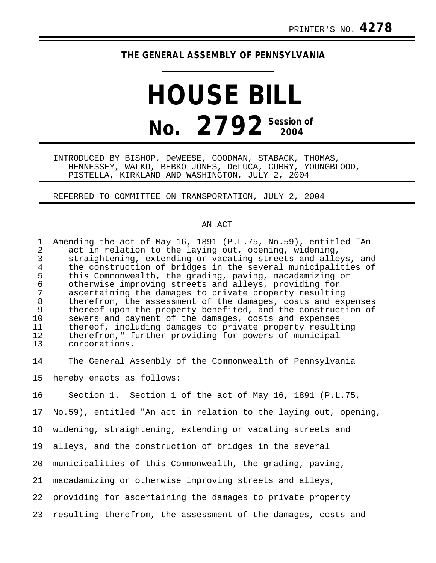## **THE GENERAL ASSEMBLY OF PENNSYLVANIA**

## **HOUSE BILL No. 2792 Session of**

INTRODUCED BY BISHOP, DeWEESE, GOODMAN, STABACK, THOMAS, HENNESSEY, WALKO, BEBKO-JONES, DeLUCA, CURRY, YOUNGBLOOD, PISTELLA, KIRKLAND AND WASHINGTON, JULY 2, 2004

REFERRED TO COMMITTEE ON TRANSPORTATION, JULY 2, 2004

## AN ACT

1 Amending the act of May 16, 1891 (P.L.75, No.59), entitled "An<br>2 act in relation to the laving out, opening, widening, 2 act in relation to the laying out, opening, widening,<br>3 straightening, extending or vacating streets and alle 3 straightening, extending or vacating streets and alleys, and 4 the construction of bridges in the several municipalities of<br>5 this Commonwealth, the grading, paving, macadamizing or 5 this Commonwealth, the grading, paving, macadamizing or 6 otherwise improving streets and alleys, providing for 7 ascertaining the damages to private property resulting<br>8 therefrom, the assessment of the damages, costs and ex 8 therefrom, the assessment of the damages, costs and expenses<br>9 thereof upon the property benefited, and the construction of 9 thereof upon the property benefited, and the construction of 10 sewers and payment of the damages, costs and expenses sewers and payment of the damages, costs and expenses 11 thereof, including damages to private property resulting<br>12 therefrom," further providing for powers of municipal 12 therefrom," further providing for powers of municipal<br>13 corporations. corporations.

14 The General Assembly of the Commonwealth of Pennsylvania 15 hereby enacts as follows:

16 Section 1. Section 1 of the act of May 16, 1891 (P.L.75,

17 No.59), entitled "An act in relation to the laying out, opening,

18 widening, straightening, extending or vacating streets and

19 alleys, and the construction of bridges in the several

20 municipalities of this Commonwealth, the grading, paving,

21 macadamizing or otherwise improving streets and alleys,

22 providing for ascertaining the damages to private property

23 resulting therefrom, the assessment of the damages, costs and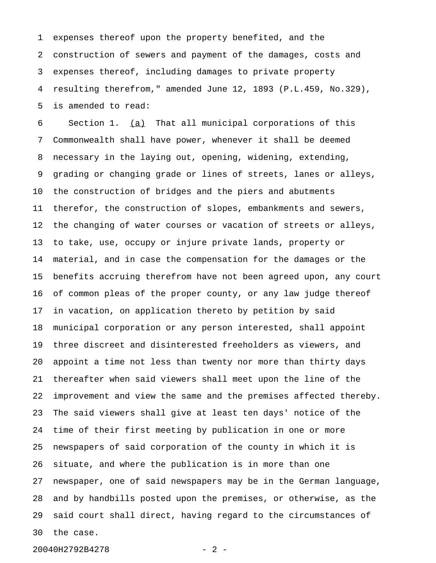1 expenses thereof upon the property benefited, and the 2 construction of sewers and payment of the damages, costs and 3 expenses thereof, including damages to private property 4 resulting therefrom," amended June 12, 1893 (P.L.459, No.329), 5 is amended to read:

6 Section 1. (a) That all municipal corporations of this 7 Commonwealth shall have power, whenever it shall be deemed 8 necessary in the laying out, opening, widening, extending, 9 grading or changing grade or lines of streets, lanes or alleys, 10 the construction of bridges and the piers and abutments 11 therefor, the construction of slopes, embankments and sewers, 12 the changing of water courses or vacation of streets or alleys, 13 to take, use, occupy or injure private lands, property or 14 material, and in case the compensation for the damages or the 15 benefits accruing therefrom have not been agreed upon, any court 16 of common pleas of the proper county, or any law judge thereof 17 in vacation, on application thereto by petition by said 18 municipal corporation or any person interested, shall appoint 19 three discreet and disinterested freeholders as viewers, and 20 appoint a time not less than twenty nor more than thirty days 21 thereafter when said viewers shall meet upon the line of the 22 improvement and view the same and the premises affected thereby. 23 The said viewers shall give at least ten days' notice of the 24 time of their first meeting by publication in one or more 25 newspapers of said corporation of the county in which it is 26 situate, and where the publication is in more than one 27 newspaper, one of said newspapers may be in the German language, 28 and by handbills posted upon the premises, or otherwise, as the 29 said court shall direct, having regard to the circumstances of 30 the case.

20040H2792B4278 - 2 -